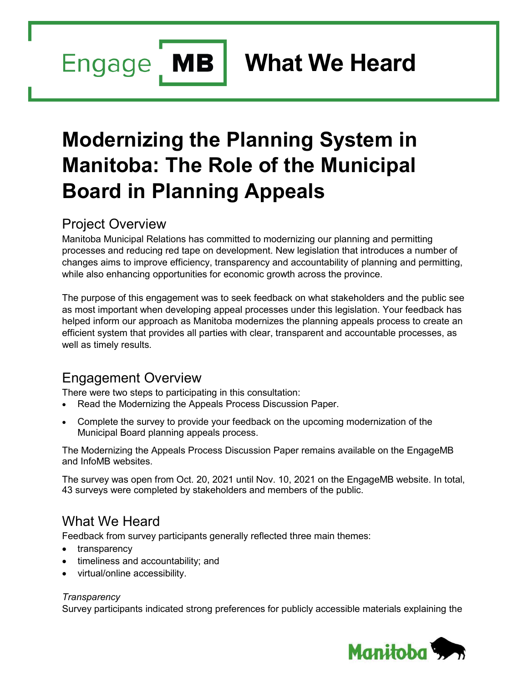Engage MB

**What We Heard**

# **Modernizing the Planning System in Manitoba: The Role of the Municipal Board in Planning Appeals**

# Project Overview

Manitoba Municipal Relations has committed to modernizing our planning and permitting processes and reducing red tape on development. New legislation that introduces a number of changes aims to improve efficiency, transparency and accountability of planning and permitting, while also enhancing opportunities for economic growth across the province.

The purpose of this engagement was to seek feedback on what stakeholders and the public see as most important when developing appeal processes under this legislation. Your feedback has helped inform our approach as Manitoba modernizes the planning appeals process to create an efficient system that provides all parties with clear, transparent and accountable processes, as well as timely results.

# Engagement Overview

There were two steps to participating in this consultation:

- Read the Modernizing the Appeals Process Discussion Paper.
- Complete the survey to provide your feedback on the upcoming modernization of the Municipal Board planning appeals process.

The Modernizing the Appeals Process Discussion Paper remains available on the EngageMB and InfoMB websites.

The survey was open from Oct. 20, 2021 until Nov. 10, 2021 on the EngageMB website. In total, 43 surveys were completed by stakeholders and members of the public.

### What We Heard

Feedback from survey participants generally reflected three main themes:

- transparency
- timeliness and accountability; and
- virtual/online accessibility.

### *Transparency*

Survey participants indicated strong preferences for publicly accessible materials explaining the

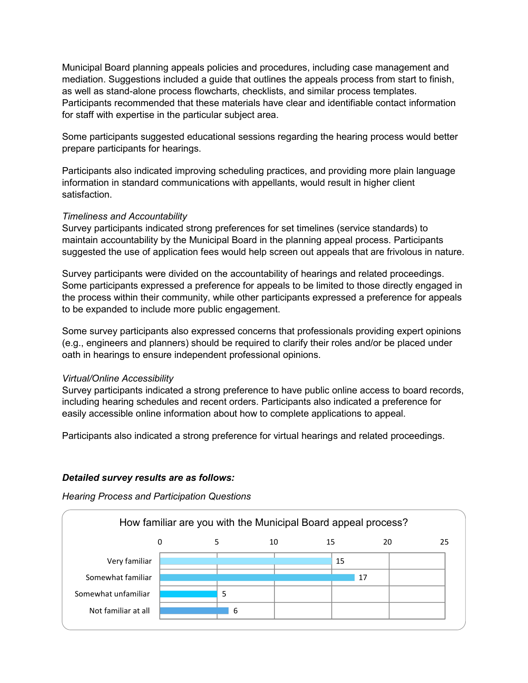Municipal Board planning appeals policies and procedures, including case management and mediation. Suggestions included a guide that outlines the appeals process from start to finish, as well as stand-alone process flowcharts, checklists, and similar process templates. Participants recommended that these materials have clear and identifiable contact information for staff with expertise in the particular subject area.

Some participants suggested educational sessions regarding the hearing process would better prepare participants for hearings.

Participants also indicated improving scheduling practices, and providing more plain language information in standard communications with appellants, would result in higher client satisfaction.

### *Timeliness and Accountability*

Survey participants indicated strong preferences for set timelines (service standards) to maintain accountability by the Municipal Board in the planning appeal process. Participants suggested the use of application fees would help screen out appeals that are frivolous in nature.

Survey participants were divided on the accountability of hearings and related proceedings. Some participants expressed a preference for appeals to be limited to those directly engaged in the process within their community, while other participants expressed a preference for appeals to be expanded to include more public engagement.

Some survey participants also expressed concerns that professionals providing expert opinions (e.g., engineers and planners) should be required to clarify their roles and/or be placed under oath in hearings to ensure independent professional opinions.

#### *Virtual/Online Accessibility*

Survey participants indicated a strong preference to have public online access to board records, including hearing schedules and recent orders. Participants also indicated a preference for easily accessible online information about how to complete applications to appeal.

Participants also indicated a strong preference for virtual hearings and related proceedings.

#### *Detailed survey results are as follows:*

*Hearing Process and Participation Questions*

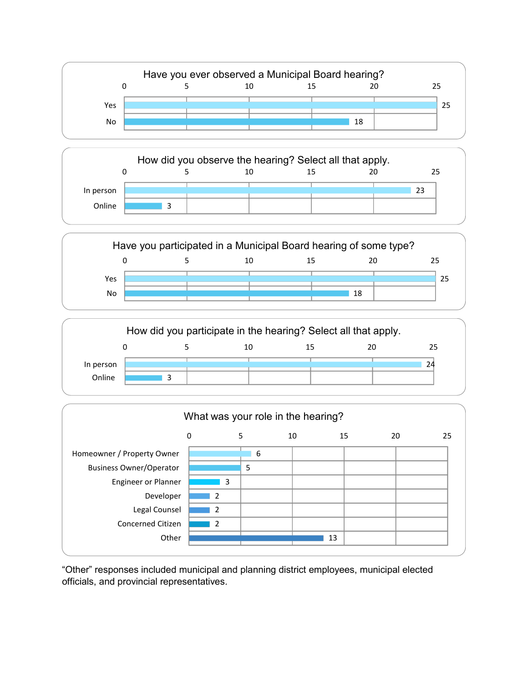

|           |  |    | How did you observe the hearing? Select all that apply. |    |
|-----------|--|----|---------------------------------------------------------|----|
|           |  | 10 | 15                                                      | つら |
| In person |  |    |                                                         | 23 |
| Online    |  |    |                                                         |    |





| What was your role in the hearing? |                          |   |    |    |          |  |  |  |  |
|------------------------------------|--------------------------|---|----|----|----------|--|--|--|--|
|                                    | 0                        | 5 | 10 | 15 | 20<br>25 |  |  |  |  |
| Homeowner / Property Owner         |                          | 6 |    |    |          |  |  |  |  |
| <b>Business Owner/Operator</b>     |                          | 5 |    |    |          |  |  |  |  |
| <b>Engineer or Planner</b>         | 3                        |   |    |    |          |  |  |  |  |
| Developer                          | $\overline{2}$           |   |    |    |          |  |  |  |  |
| Legal Counsel                      | $\mathcal{P}$            |   |    |    |          |  |  |  |  |
| <b>Concerned Citizen</b>           | $\overline{\phantom{a}}$ |   |    |    |          |  |  |  |  |
| Other                              |                          |   | 13 |    |          |  |  |  |  |
|                                    |                          |   |    |    |          |  |  |  |  |

"Other" responses included municipal and planning district employees, municipal elected officials, and provincial representatives.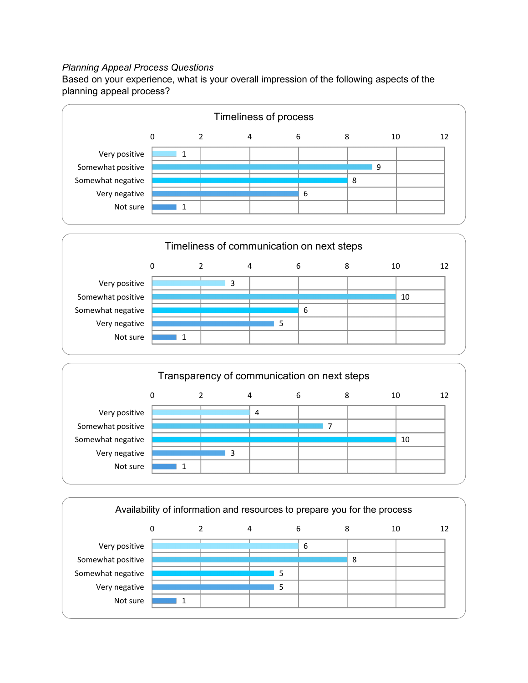### *Planning Appeal Process Questions*

Based on your experience, what is your overall impression of the following aspects of the planning appeal process?





|                   |   |   | Transparency of communication on next steps |   |   |    |  |
|-------------------|---|---|---------------------------------------------|---|---|----|--|
|                   | 0 |   | 4                                           | 6 | 8 | 10 |  |
| Very positive     |   |   | 4                                           |   |   |    |  |
| Somewhat positive |   |   |                                             |   |   |    |  |
| Somewhat negative |   |   |                                             |   |   | 10 |  |
| Very negative     |   | 3 |                                             |   |   |    |  |
| Not sure          |   |   |                                             |   |   |    |  |
|                   |   |   |                                             |   |   |    |  |